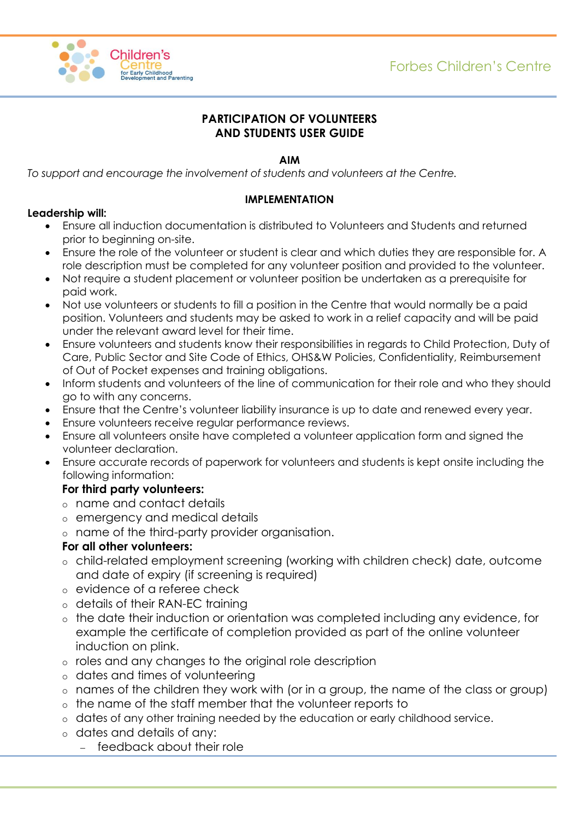

#### **PARTICIPATION OF VOLUNTEERS AND STUDENTS USER GUIDE**

#### **AIM**

*To support and encourage the involvement of students and volunteers at the Centre.*

#### **IMPLEMENTATION**

#### **Leadership will:**

- Ensure all induction documentation is distributed to Volunteers and Students and returned prior to beginning on-site.
- Ensure the role of the volunteer or student is clear and which duties they are responsible for. A role description must be completed for any volunteer position and provided to the volunteer.
- Not require a student placement or volunteer position be undertaken as a prerequisite for paid work.
- Not use volunteers or students to fill a position in the Centre that would normally be a paid position. Volunteers and students may be asked to work in a relief capacity and will be paid under the relevant award level for their time.
- Ensure volunteers and students know their responsibilities in regards to Child Protection, Duty of Care, Public Sector and Site Code of Ethics, OHS&W Policies, Confidentiality, Reimbursement of Out of Pocket expenses and training obligations.
- Inform students and volunteers of the line of communication for their role and who they should go to with any concerns.
- Ensure that the Centre's volunteer liability insurance is up to date and renewed every year.
- Ensure volunteers receive regular performance reviews.
- Ensure all volunteers onsite have completed a volunteer application form and signed the volunteer declaration.
- Ensure accurate records of paperwork for volunteers and students is kept onsite including the following information:

# **For third party volunteers:**

- o name and contact details
- o emergency and medical details
- o name of the third-party provider organisation.

# **For all other volunteers:**

- o child-related employment screening (working with children check) date, outcome and date of expiry (if screening is required)
- o evidence of a referee check
- o details of their RAN-EC training
- o the date their induction or orientation was completed including any evidence, for example the certificate of completion provided as part of the online volunteer induction on plink.
- o roles and any changes to the original role description
- o dates and times of volunteering
- o names of the children they work with (or in a group, the name of the class or group)
- o the name of the staff member that the volunteer reports to
- o dates of any other training needed by the education or early childhood service.
- o dates and details of any:
	- feedback about their role